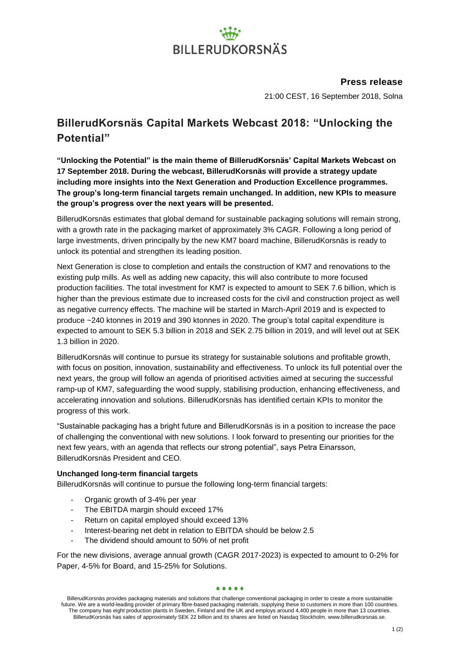# **BILLERUDKORSNÄS**

### **Press release**

21:00 CEST, 16 September 2018, Solna

### **BillerudKorsnäs Capital Markets Webcast 2018: "Unlocking the Potential"**

**"Unlocking the Potential" is the main theme of BillerudKorsnäs' Capital Markets Webcast on 17 September 2018. During the webcast, BillerudKorsnäs will provide a strategy update including more insights into the Next Generation and Production Excellence programmes. The group's long-term financial targets remain unchanged. In addition, new KPIs to measure the group's progress over the next years will be presented.** 

BillerudKorsnäs estimates that global demand for sustainable packaging solutions will remain strong, with a growth rate in the packaging market of approximately 3% CAGR. Following a long period of large investments, driven principally by the new KM7 board machine, BillerudKorsnäs is ready to unlock its potential and strengthen its leading position.

Next Generation is close to completion and entails the construction of KM7 and renovations to the existing pulp mills. As well as adding new capacity, this will also contribute to more focused production facilities. The total investment for KM7 is expected to amount to SEK 7.6 billion, which is higher than the previous estimate due to increased costs for the civil and construction project as well as negative currency effects. The machine will be started in March-April 2019 and is expected to produce ~240 ktonnes in 2019 and 390 ktonnes in 2020. The group's total capital expenditure is expected to amount to SEK 5.3 billion in 2018 and SEK 2.75 billion in 2019, and will level out at SEK 1.3 billion in 2020.

BillerudKorsnäs will continue to pursue its strategy for sustainable solutions and profitable growth, with focus on position, innovation, sustainability and effectiveness. To unlock its full potential over the next years, the group will follow an agenda of prioritised activities aimed at securing the successful ramp-up of KM7, safeguarding the wood supply, stabilising production, enhancing effectiveness, and accelerating innovation and solutions. BillerudKorsnäs has identified certain KPIs to monitor the progress of this work.

"Sustainable packaging has a bright future and BillerudKorsnäs is in a position to increase the pace of challenging the conventional with new solutions. I look forward to presenting our priorities for the next few years, with an agenda that reflects our strong potential", says Petra Einarsson, BillerudKorsnäs President and CEO.

#### **Unchanged long-term financial targets**

BillerudKorsnäs will continue to pursue the following long-term financial targets:

- Organic growth of 3-4% per year
- The EBITDA margin should exceed 17%
- Return on capital employed should exceed 13%
- Interest-bearing net debt in relation to EBITDA should be below 2.5
- The dividend should amount to 50% of net profit

For the new divisions, average annual growth (CAGR 2017-2023) is expected to amount to 0-2% for Paper, 4-5% for Board, and 15-25% for Solutions.

#### $.........$

BillerudKorsnäs provides packaging materials and solutions that challenge conventional packaging in order to create a more sustainable future. We are a world-leading provider of primary fibre-based packaging materials, supplying these to customers in more than 100 countries. The company has eight production plants in Sweden, Finland and the UK and employs around 4,400 people in more than 13 countries. BillerudKorsnäs has sales of approximately SEK 22 billion and its shares are listed on Nasdaq Stockholm. www.billerudkorsnas.se.